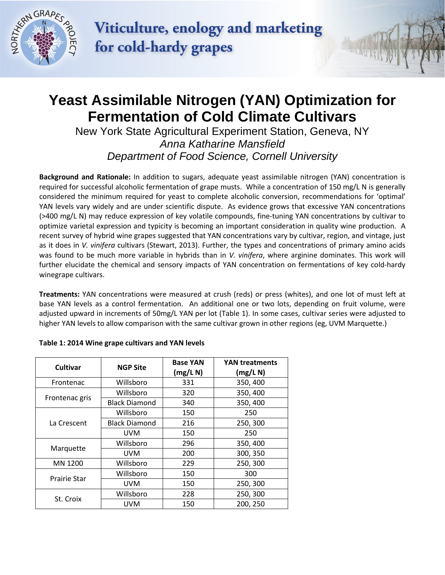

Viticulture, enology and marketing for cold-hardy grapes

## **Yeast Assimilable Nitrogen (YAN) Optimization for Fermentation of Cold Climate Cultivars**

New York State Agricultural Experiment Station, Geneva, NY *Anna Katharine Mansfield Department of Food Science, Cornell University*

**Background and Rationale:** In addition to sugars, adequate yeast assimilable nitrogen (YAN) concentration is required for successful alcoholic fermentation of grape musts. While a concentration of 150 mg/L N is generally considered the minimum required for yeast to complete alcoholic conversion, recommendations for 'optimal' YAN levels vary widely and are under scientific dispute. As evidence grows that excessive YAN concentrations (>400 mg/L N) may reduce expression of key volatile compounds, fine-tuning YAN concentrations by cultivar to optimize varietal expression and typicity is becoming an important consideration in quality wine production. A recent survey of hybrid wine grapes suggested that YAN concentrations vary by cultivar, region, and vintage, just as it does in *V. vinifera* cultivars (Stewart, 2013). Further, the types and concentrations of primary amino acids was found to be much more variable in hybrids than in *V. vinifera*, where arginine dominates. This work will further elucidate the chemical and sensory impacts of YAN concentration on fermentations of key cold-hardy winegrape cultivars.

**Treatments:** YAN concentrations were measured at crush (reds) or press (whites), and one lot of must left at base YAN levels as a control fermentation. An additional one or two lots, depending on fruit volume, were adjusted upward in increments of 50mg/L YAN per lot (Table 1). In some cases, cultivar series were adjusted to higher YAN levels to allow comparison with the same cultivar grown in other regions (eg, UVM Marquette.)

| Cultivar            | <b>NGP Site</b>      | <b>Base YAN</b><br>(mg/L N) | <b>YAN treatments</b><br>(mg/L N) |
|---------------------|----------------------|-----------------------------|-----------------------------------|
| Frontenac           | Willsboro            | 331                         | 350, 400                          |
| Frontenac gris      | Willsboro            | 320                         | 350, 400                          |
|                     | <b>Black Diamond</b> | 340                         | 350, 400                          |
| La Crescent         | Willsboro            | 150                         | 250                               |
|                     | <b>Black Diamond</b> | 216                         | 250, 300                          |
|                     | <b>UVM</b>           | 150                         | 250                               |
| Marquette           | Willsboro            | 296                         | 350, 400                          |
|                     | <b>UVM</b>           | 200                         | 300, 350                          |
| MN 1200             | Willsboro            | 229                         | 250, 300                          |
| <b>Prairie Star</b> | Willsboro            | 150                         | 300                               |
|                     | <b>UVM</b>           | 150                         | 250, 300                          |
| St. Croix           | Willsboro            | 228                         | 250, 300                          |
|                     | UVM                  | 150                         | 200, 250                          |

## **Table 1: 2014 Wine grape cultivars and YAN levels**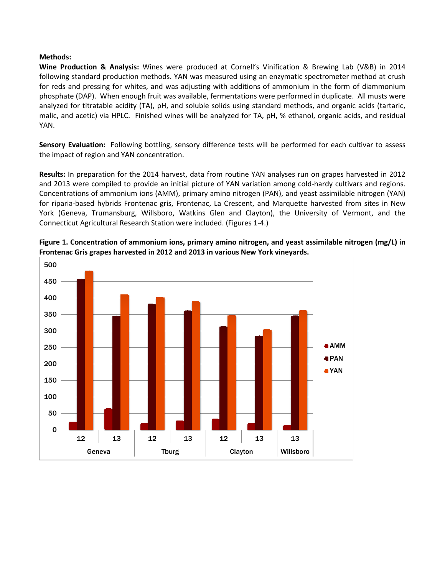## **Methods:**

**Wine Production & Analysis:** Wines were produced at Cornell's Vinification & Brewing Lab (V&B) in 2014 following standard production methods. YAN was measured using an enzymatic spectrometer method at crush for reds and pressing for whites, and was adjusting with additions of ammonium in the form of diammonium phosphate (DAP). When enough fruit was available, fermentations were performed in duplicate. All musts were analyzed for titratable acidity (TA), pH, and soluble solids using standard methods, and organic acids (tartaric, malic, and acetic) via HPLC. Finished wines will be analyzed for TA, pH, % ethanol, organic acids, and residual YAN.

**Sensory Evaluation:** Following bottling, sensory difference tests will be performed for each cultivar to assess the impact of region and YAN concentration.

**Results:** In preparation for the 2014 harvest, data from routine YAN analyses run on grapes harvested in 2012 and 2013 were compiled to provide an initial picture of YAN variation among cold-hardy cultivars and regions. Concentrations of ammonium ions (AMM), primary amino nitrogen (PAN), and yeast assimilable nitrogen (YAN) for riparia-based hybrids Frontenac gris, Frontenac, La Crescent, and Marquette harvested from sites in New York (Geneva, Trumansburg, Willsboro, Watkins Glen and Clayton), the University of Vermont, and the Connecticut Agricultural Research Station were included. (Figures 1-4.)



**Figure 1. Concentration of ammonium ions, primary amino nitrogen, and yeast assimilable nitrogen (mg/L) in Frontenac Gris grapes harvested in 2012 and 2013 in various New York vineyards.**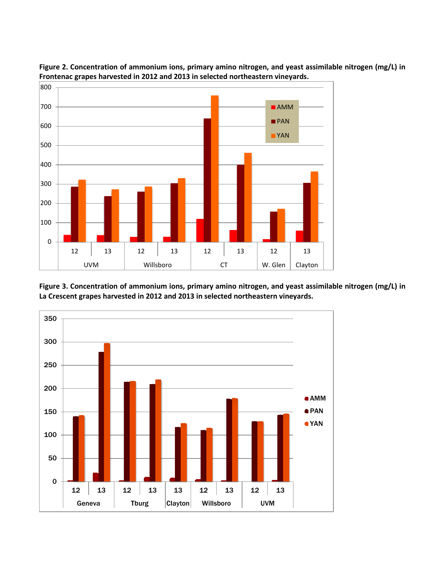

**Figure 2. Concentration of ammonium ions, primary amino nitrogen, and yeast assimilable nitrogen (mg/L) in Frontenac grapes harvested in 2012 and 2013 in selected northeastern vineyards.** 

**Figure 3. Concentration of ammonium ions, primary amino nitrogen, and yeast assimilable nitrogen (mg/L) in La Crescent grapes harvested in 2012 and 2013 in selected northeastern vineyards.**